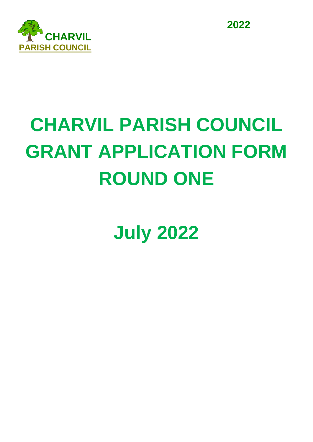

**2022**

## **CHARVIL PARISH COUNCIL GRANT APPLICATION FORM ROUND ONE**

**July 2022**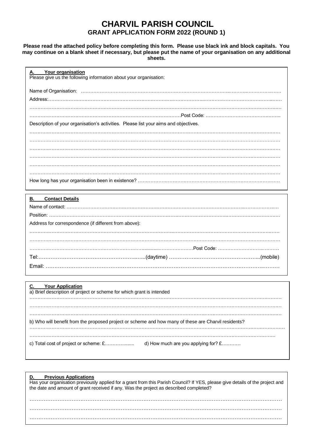## **CHARVIL PARISH COUNCIL GRANT APPLICATION FORM 2022 (ROUND 1)**

**Please read the attached policy before completing this form. Please use black ink and block capitals. You may continue on a blank sheet if necessary, but please put the name of your organisation on any additional sheets.**

| Your organisation<br>Α.<br>Please give us the following information about your organisation:           |
|--------------------------------------------------------------------------------------------------------|
|                                                                                                        |
|                                                                                                        |
|                                                                                                        |
|                                                                                                        |
| Description of your organisation's activities. Please list your aims and objectives.                   |
|                                                                                                        |
|                                                                                                        |
|                                                                                                        |
|                                                                                                        |
|                                                                                                        |
|                                                                                                        |
|                                                                                                        |
| <b>Contact Details</b><br>В.                                                                           |
|                                                                                                        |
|                                                                                                        |
| Address for correspondence (if different from above):                                                  |
|                                                                                                        |
|                                                                                                        |
|                                                                                                        |
|                                                                                                        |
|                                                                                                        |
|                                                                                                        |
|                                                                                                        |
| <b>Your Application</b><br>C.<br>a) Brief description of project or scheme for which grant is intended |
|                                                                                                        |
|                                                                                                        |
| b) Who will benefit from the proposed project or scheme and how many of these are Charvil residents?   |
|                                                                                                        |
| c) Total cost of project or scheme: £<br>d) How much are you applying for? £                           |

| <b>Previous Applications</b><br>D.<br>Has your organisation previously applied for a grant from this Parish Council? If YES, please give details of the project and<br>the date and amount of grant received if any. Was the project as described completed? |
|--------------------------------------------------------------------------------------------------------------------------------------------------------------------------------------------------------------------------------------------------------------|
|                                                                                                                                                                                                                                                              |
|                                                                                                                                                                                                                                                              |
|                                                                                                                                                                                                                                                              |